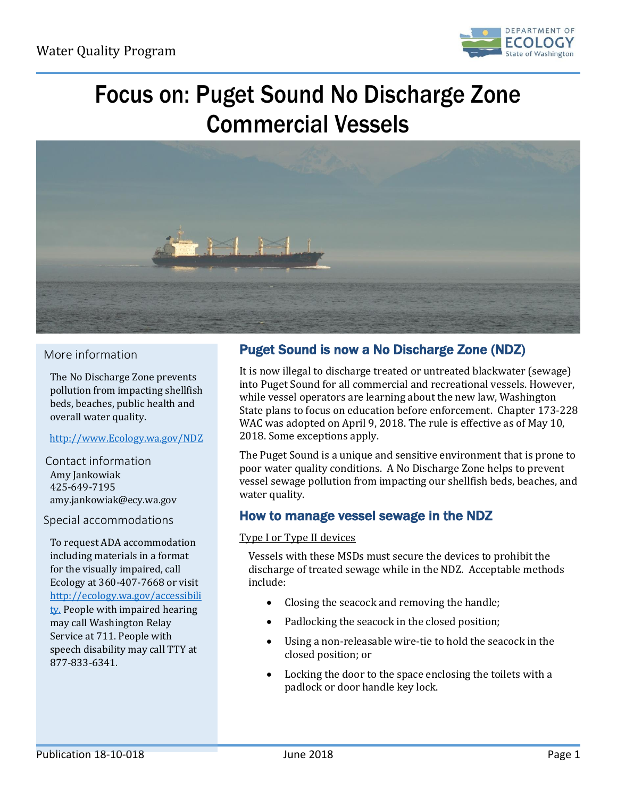

# Focus on: Puget Sound No Discharge Zone Commercial Vessels



## More information

The No Discharge Zone prevents pollution from impacting shellfish beds, beaches, public health and overall water quality.

## [http://www.Ecology.wa.gov/NDZ](http://www.ecology.wa.gov/NDZ)

Contact information Amy Jankowiak 425-649-7195 amy.jankowiak@ecy.wa.gov

## Special accommodations

To request ADA accommodation including materials in a format for the visually impaired, call Ecology at 360-407-7668 or visit [http://ecology.wa.gov/accessibili](http://ecology.wa.gov/accessibility) [ty.](http://ecology.wa.gov/accessibility) People with impaired hearing may call Washington Relay Service at 711. People with speech disability may call TTY at 877-833-6341.

# Puget Sound is now a No Discharge Zone (NDZ)

It is now illegal to discharge treated or untreated blackwater (sewage) into Puget Sound for all commercial and recreational vessels. However, while vessel operators are learning about the new law, Washington State plans to focus on education before enforcement. Chapter 173-228 WAC was adopted on April 9, 2018. The rule is effective as of May 10, 2018. Some exceptions apply.

The Puget Sound is a unique and sensitive environment that is prone to poor water quality conditions. A No Discharge Zone helps to prevent vessel sewage pollution from impacting our shellfish beds, beaches, and water quality.

# How to manage vessel sewage in the NDZ

#### Type I or Type II devices

Vessels with these MSDs must secure the devices to prohibit the discharge of treated sewage while in the NDZ. Acceptable methods include:

- Closing the seacock and removing the handle;
- Padlocking the seacock in the closed position;
- Using a non-releasable wire-tie to hold the seacock in the closed position; or
- Locking the door to the space enclosing the toilets with a padlock or door handle key lock.